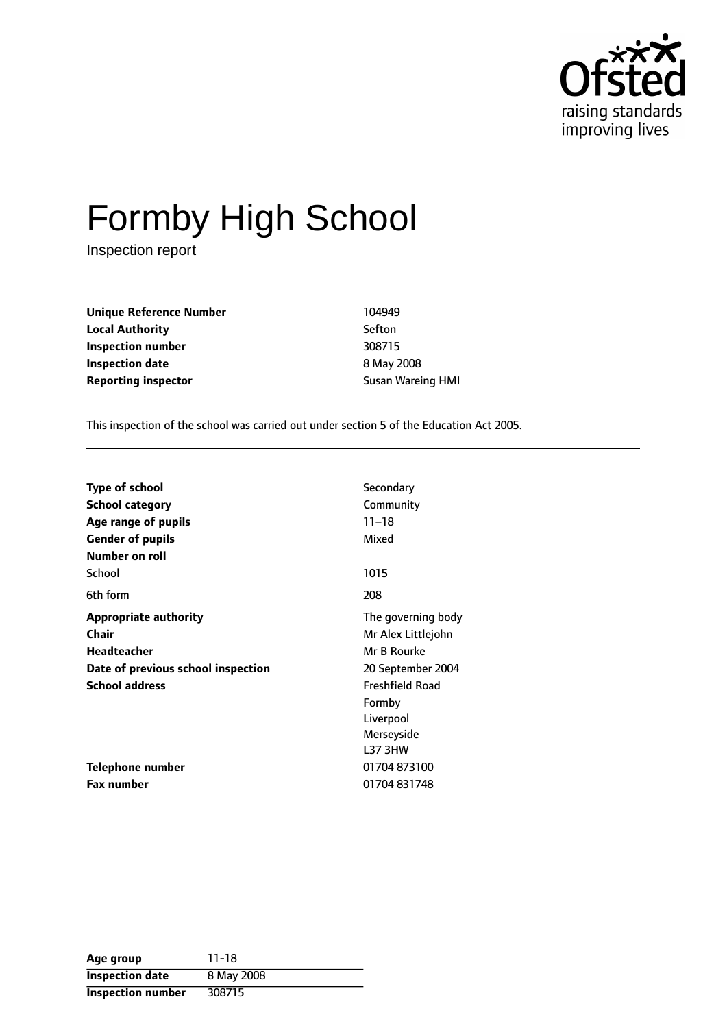

# Formby High School

Inspection report

**Unique Reference Number** 104949 **Local Authority** Sefton **Inspection number** 308715 **Inspection date** 8 May 2008 **Reporting inspector Susan Wareing HMI** 

This inspection of the school was carried out under section 5 of the Education Act 2005.

| <b>Type of school</b>              | Secondary              |
|------------------------------------|------------------------|
| <b>School category</b>             | Community              |
| Age range of pupils                | $11 - 18$              |
| <b>Gender of pupils</b>            | Mixed                  |
| Number on roll                     |                        |
| School                             | 1015                   |
| 6th form                           | 208                    |
| <b>Appropriate authority</b>       | The governing body     |
| Chair                              | Mr Alex Littlejohn     |
| <b>Headteacher</b>                 | Mr B Rourke            |
| Date of previous school inspection | 20 September 2004      |
| <b>School address</b>              | <b>Freshfield Road</b> |
|                                    | Formby                 |
|                                    | Liverpool              |
|                                    | Merseyside             |
|                                    | <b>L37 3HW</b>         |
| Telephone number                   | 01704 873100           |
| Fax number                         | 01704 831748           |

| Age group                | $11 - 18$  |
|--------------------------|------------|
| <b>Inspection date</b>   | 8 May 2008 |
| <b>Inspection number</b> | 308715     |

÷.  $\overline{\phantom{0}}$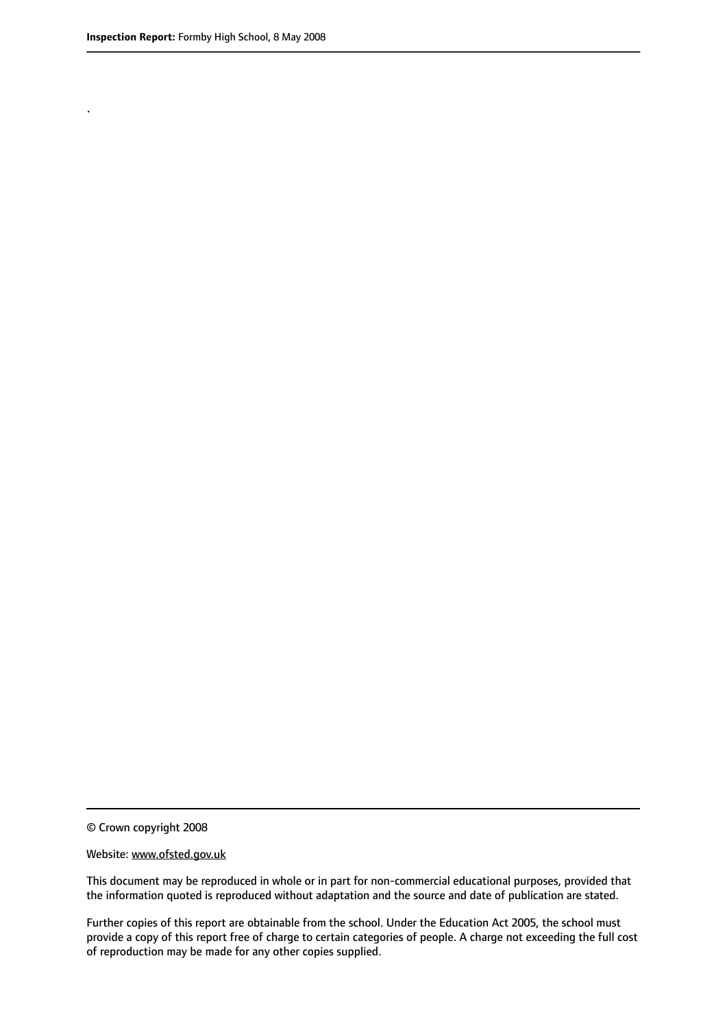.

© Crown copyright 2008

#### Website: www.ofsted.gov.uk

This document may be reproduced in whole or in part for non-commercial educational purposes, provided that the information quoted is reproduced without adaptation and the source and date of publication are stated.

Further copies of this report are obtainable from the school. Under the Education Act 2005, the school must provide a copy of this report free of charge to certain categories of people. A charge not exceeding the full cost of reproduction may be made for any other copies supplied.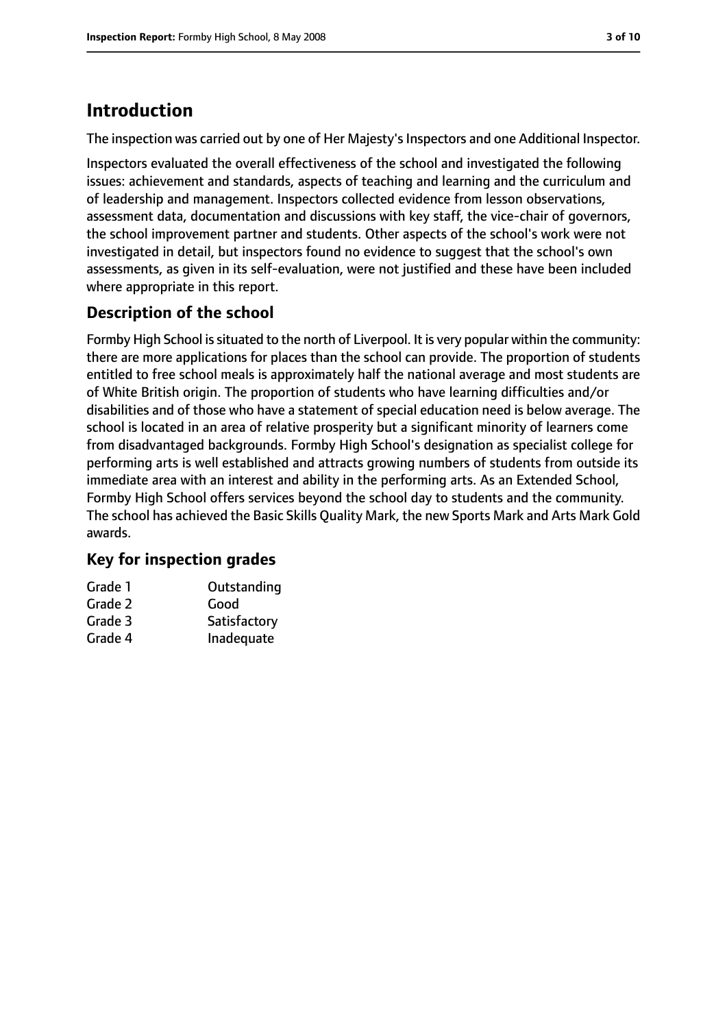## **Introduction**

The inspection was carried out by one of Her Majesty's Inspectors and one Additional Inspector.

Inspectors evaluated the overall effectiveness of the school and investigated the following issues: achievement and standards, aspects of teaching and learning and the curriculum and of leadership and management. Inspectors collected evidence from lesson observations, assessment data, documentation and discussions with key staff, the vice-chair of governors, the school improvement partner and students. Other aspects of the school's work were not investigated in detail, but inspectors found no evidence to suggest that the school's own assessments, as given in its self-evaluation, were not justified and these have been included where appropriate in this report.

## **Description of the school**

Formby High School is situated to the north of Liverpool. It is very popular within the community: there are more applications for places than the school can provide. The proportion of students entitled to free school meals is approximately half the national average and most students are of White British origin. The proportion of students who have learning difficulties and/or disabilities and of those who have a statement of special education need is below average. The school is located in an area of relative prosperity but a significant minority of learners come from disadvantaged backgrounds. Formby High School's designation as specialist college for performing arts is well established and attracts growing numbers of students from outside its immediate area with an interest and ability in the performing arts. As an Extended School, Formby High School offers services beyond the school day to students and the community. The school has achieved the Basic Skills Quality Mark, the new Sports Mark and Arts Mark Gold awards.

### **Key for inspection grades**

| Grade 1 | Outstanding  |
|---------|--------------|
| Grade 2 | Good         |
| Grade 3 | Satisfactory |
| Grade 4 | Inadequate   |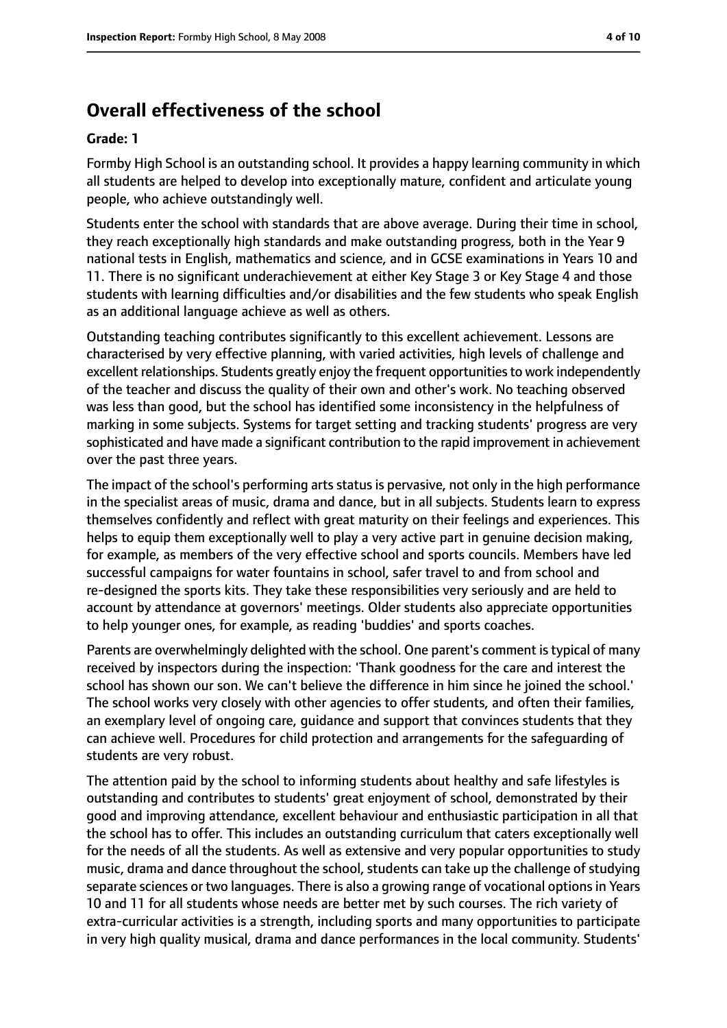# **Overall effectiveness of the school**

#### **Grade: 1**

Formby High School is an outstanding school. It provides a happy learning community in which all students are helped to develop into exceptionally mature, confident and articulate young people, who achieve outstandingly well.

Students enter the school with standards that are above average. During their time in school, they reach exceptionally high standards and make outstanding progress, both in the Year 9 national tests in English, mathematics and science, and in GCSE examinations in Years 10 and 11. There is no significant underachievement at either Key Stage 3 or Key Stage 4 and those students with learning difficulties and/or disabilities and the few students who speak English as an additional language achieve as well as others.

Outstanding teaching contributes significantly to this excellent achievement. Lessons are characterised by very effective planning, with varied activities, high levels of challenge and excellent relationships. Students greatly enjoy the frequent opportunities to work independently of the teacher and discuss the quality of their own and other's work. No teaching observed was less than good, but the school has identified some inconsistency in the helpfulness of marking in some subjects. Systems for target setting and tracking students' progress are very sophisticated and have made a significant contribution to the rapid improvement in achievement over the past three years.

The impact of the school's performing arts status is pervasive, not only in the high performance in the specialist areas of music, drama and dance, but in all subjects. Students learn to express themselves confidently and reflect with great maturity on their feelings and experiences. This helps to equip them exceptionally well to play a very active part in genuine decision making, for example, as members of the very effective school and sports councils. Members have led successful campaigns for water fountains in school, safer travel to and from school and re-designed the sports kits. They take these responsibilities very seriously and are held to account by attendance at governors' meetings. Older students also appreciate opportunities to help younger ones, for example, as reading 'buddies' and sports coaches.

Parents are overwhelmingly delighted with the school. One parent's comment is typical of many received by inspectors during the inspection: 'Thank goodness for the care and interest the school has shown our son. We can't believe the difference in him since he joined the school.' The school works very closely with other agencies to offer students, and often their families, an exemplary level of ongoing care, guidance and support that convinces students that they can achieve well. Procedures for child protection and arrangements for the safeguarding of students are very robust.

The attention paid by the school to informing students about healthy and safe lifestyles is outstanding and contributes to students' great enjoyment of school, demonstrated by their good and improving attendance, excellent behaviour and enthusiastic participation in all that the school has to offer. This includes an outstanding curriculum that caters exceptionally well for the needs of all the students. As well as extensive and very popular opportunities to study music, drama and dance throughout the school, students can take up the challenge of studying separate sciences or two languages. There is also a growing range of vocational options in Years 10 and 11 for all students whose needs are better met by such courses. The rich variety of extra-curricular activities is a strength, including sports and many opportunities to participate in very high quality musical, drama and dance performances in the local community. Students'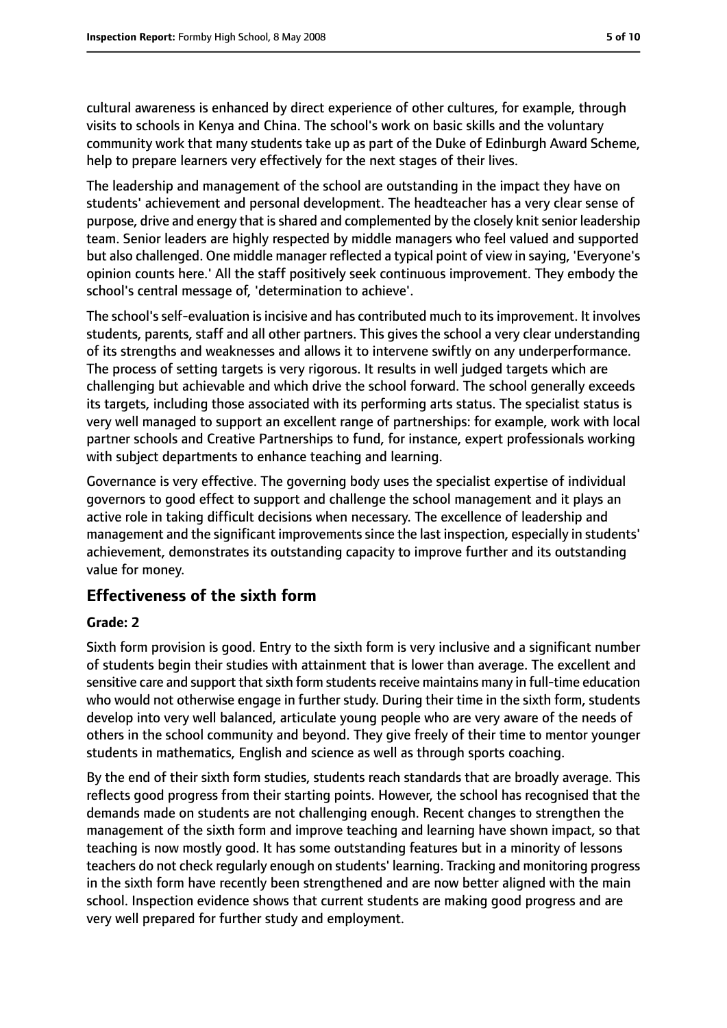cultural awareness is enhanced by direct experience of other cultures, for example, through visits to schools in Kenya and China. The school's work on basic skills and the voluntary community work that many students take up as part of the Duke of Edinburgh Award Scheme,

The leadership and management of the school are outstanding in the impact they have on students' achievement and personal development. The headteacher has a very clear sense of purpose, drive and energy that is shared and complemented by the closely knit senior leadership team. Senior leaders are highly respected by middle managers who feel valued and supported but also challenged. One middle manager reflected a typical point of view in saying, 'Everyone's opinion counts here.' All the staff positively seek continuous improvement. They embody the school's central message of, 'determination to achieve'.

help to prepare learners very effectively for the next stages of their lives.

The school's self-evaluation is incisive and has contributed much to its improvement. It involves students, parents, staff and all other partners. This gives the school a very clear understanding of its strengths and weaknesses and allows it to intervene swiftly on any underperformance. The process of setting targets is very rigorous. It results in well judged targets which are challenging but achievable and which drive the school forward. The school generally exceeds its targets, including those associated with its performing arts status. The specialist status is very well managed to support an excellent range of partnerships: for example, work with local partner schools and Creative Partnerships to fund, for instance, expert professionals working with subject departments to enhance teaching and learning.

Governance is very effective. The governing body uses the specialist expertise of individual governors to good effect to support and challenge the school management and it plays an active role in taking difficult decisions when necessary. The excellence of leadership and management and the significant improvementssince the last inspection, especially in students' achievement, demonstrates its outstanding capacity to improve further and its outstanding value for money.

## **Effectiveness of the sixth form**

#### **Grade: 2**

Sixth form provision is good. Entry to the sixth form is very inclusive and a significant number of students begin their studies with attainment that is lower than average. The excellent and sensitive care and support that sixth form students receive maintains many in full-time education who would not otherwise engage in further study. During their time in the sixth form, students develop into very well balanced, articulate young people who are very aware of the needs of others in the school community and beyond. They give freely of their time to mentor younger students in mathematics, English and science as well as through sports coaching.

By the end of their sixth form studies, students reach standards that are broadly average. This reflects good progress from their starting points. However, the school has recognised that the demands made on students are not challenging enough. Recent changes to strengthen the management of the sixth form and improve teaching and learning have shown impact, so that teaching is now mostly good. It has some outstanding features but in a minority of lessons teachers do not check regularly enough on students' learning. Tracking and monitoring progress in the sixth form have recently been strengthened and are now better aligned with the main school. Inspection evidence shows that current students are making good progress and are very well prepared for further study and employment.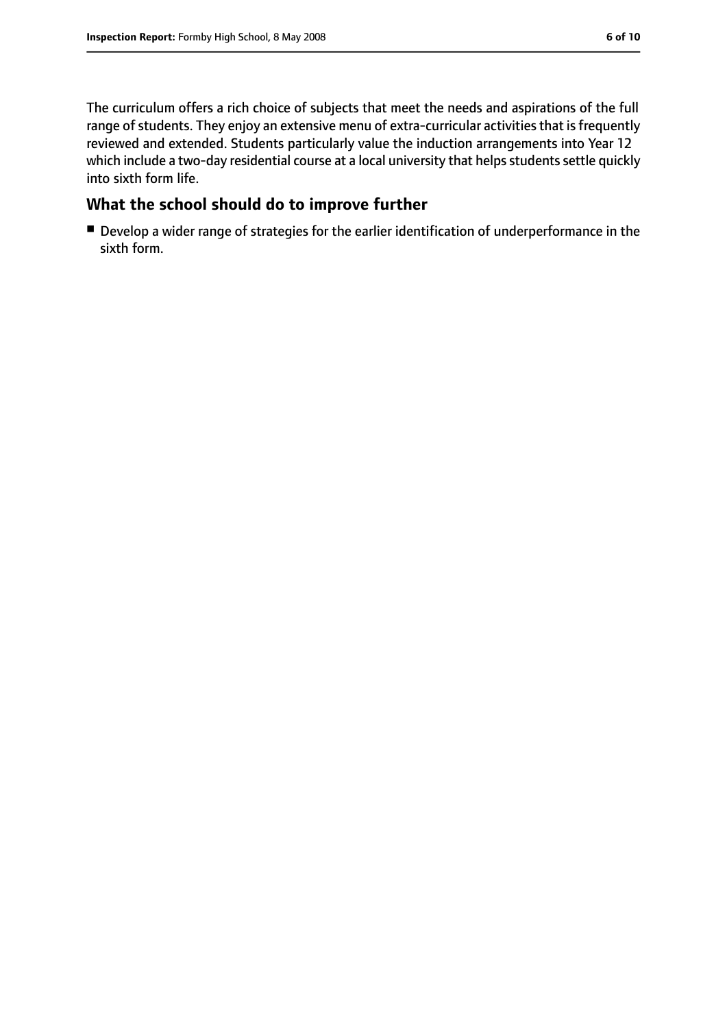The curriculum offers a rich choice of subjects that meet the needs and aspirations of the full range of students. They enjoy an extensive menu of extra-curricular activities that is frequently reviewed and extended. Students particularly value the induction arrangements into Year 12 which include a two-day residential course at a local university that helps students settle quickly into sixth form life.

## **What the school should do to improve further**

■ Develop a wider range of strategies for the earlier identification of underperformance in the sixth form.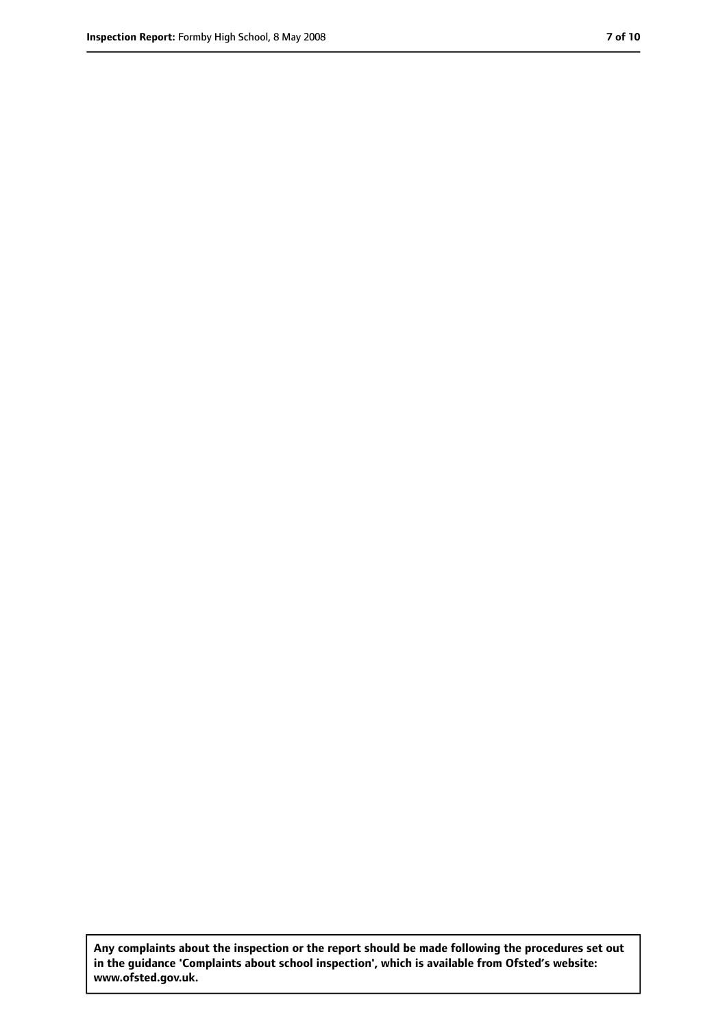**Any complaints about the inspection or the report should be made following the procedures set out in the guidance 'Complaints about school inspection', which is available from Ofsted's website: www.ofsted.gov.uk.**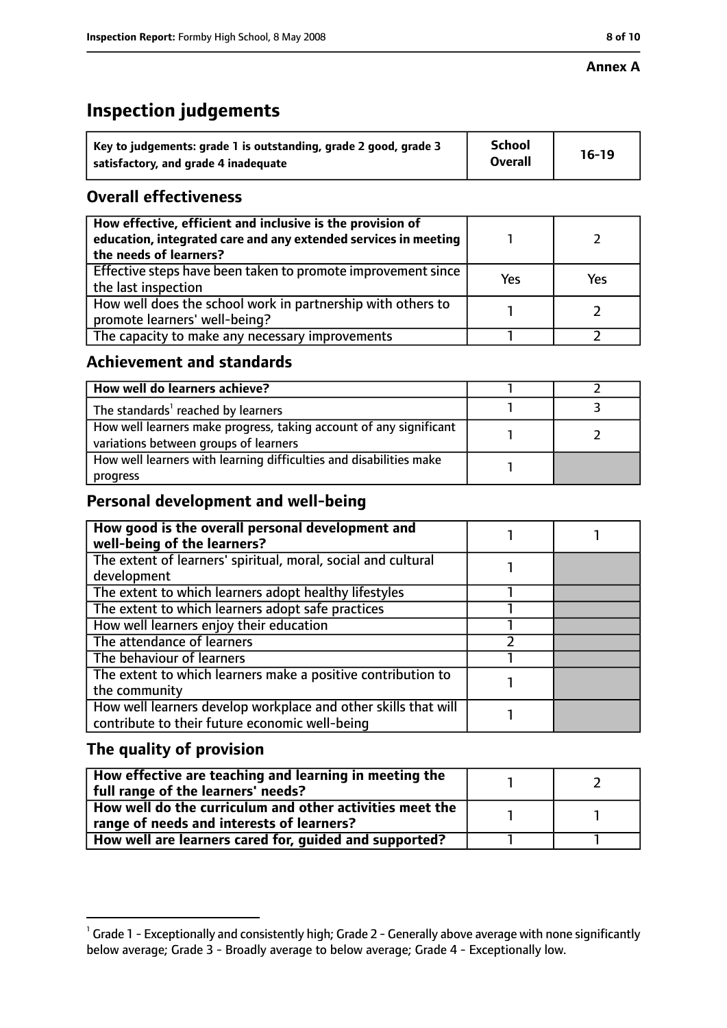#### **Annex A**

# **Inspection judgements**

| Key to judgements: grade 1 is outstanding, grade 2 good, grade 3 | <b>School</b>  | $16-19$ |
|------------------------------------------------------------------|----------------|---------|
| satisfactory, and grade 4 inadequate                             | <b>Overall</b> |         |

## **Overall effectiveness**

| How effective, efficient and inclusive is the provision of<br>education, integrated care and any extended services in meeting<br>the needs of learners? |     |     |
|---------------------------------------------------------------------------------------------------------------------------------------------------------|-----|-----|
| Effective steps have been taken to promote improvement since<br>the last inspection                                                                     | Yes | Yes |
| How well does the school work in partnership with others to<br>promote learners' well-being?                                                            |     |     |
| The capacity to make any necessary improvements                                                                                                         |     |     |

## **Achievement and standards**

| How well do learners achieve?                                                                               |  |
|-------------------------------------------------------------------------------------------------------------|--|
| The standards <sup>1</sup> reached by learners                                                              |  |
| How well learners make progress, taking account of any significant<br>variations between groups of learners |  |
| How well learners with learning difficulties and disabilities make<br>progress                              |  |

## **Personal development and well-being**

| How good is the overall personal development and<br>well-being of the learners? |  |
|---------------------------------------------------------------------------------|--|
| The extent of learners' spiritual, moral, social and cultural                   |  |
| development                                                                     |  |
| The extent to which learners adopt healthy lifestyles                           |  |
| The extent to which learners adopt safe practices                               |  |
| How well learners enjoy their education                                         |  |
| The attendance of learners                                                      |  |
| The behaviour of learners                                                       |  |
| The extent to which learners make a positive contribution to                    |  |
| the community                                                                   |  |
| How well learners develop workplace and other skills that will                  |  |
| contribute to their future economic well-being                                  |  |

## **The quality of provision**

| How effective are teaching and learning in meeting the<br>full range of the learners' needs?          |  |
|-------------------------------------------------------------------------------------------------------|--|
| How well do the curriculum and other activities meet the<br>range of needs and interests of learners? |  |
| How well are learners cared for, guided and supported?                                                |  |

 $^1$  Grade 1 - Exceptionally and consistently high; Grade 2 - Generally above average with none significantly below average; Grade 3 - Broadly average to below average; Grade 4 - Exceptionally low.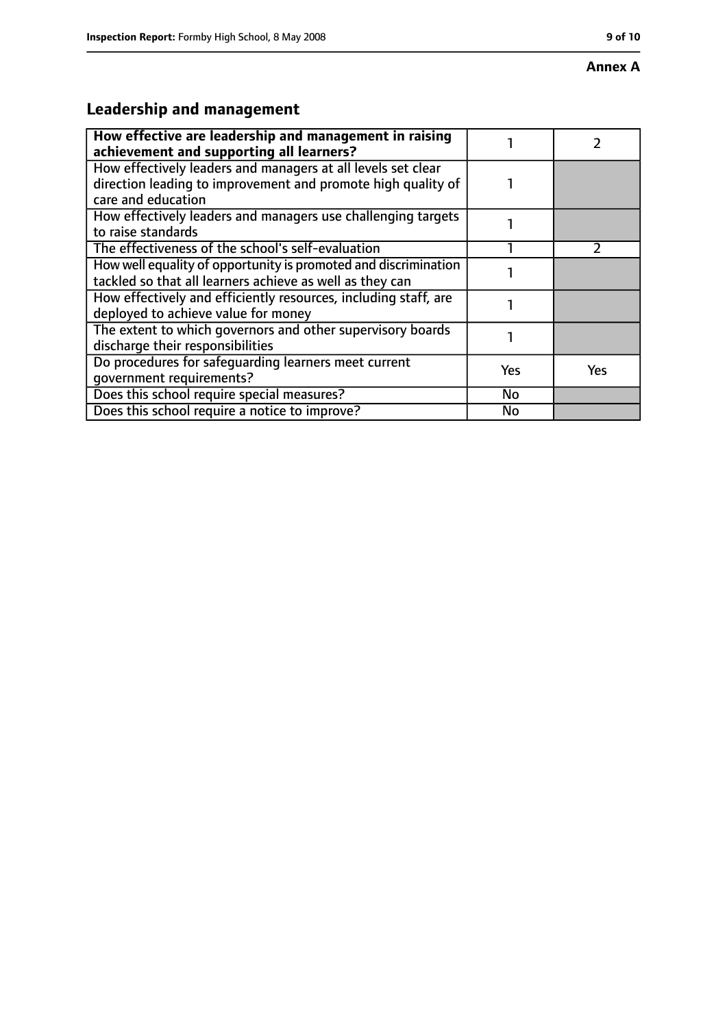#### **Annex A**

# **Leadership and management**

| How effective are leadership and management in raising          |     |               |
|-----------------------------------------------------------------|-----|---------------|
| achievement and supporting all learners?                        |     |               |
| How effectively leaders and managers at all levels set clear    |     |               |
| direction leading to improvement and promote high quality of    |     |               |
| care and education                                              |     |               |
| How effectively leaders and managers use challenging targets    |     |               |
| to raise standards                                              |     |               |
| The effectiveness of the school's self-evaluation               |     | $\mathcal{P}$ |
| How well equality of opportunity is promoted and discrimination |     |               |
| tackled so that all learners achieve as well as they can        |     |               |
| How effectively and efficiently resources, including staff, are |     |               |
| deployed to achieve value for money                             |     |               |
| The extent to which governors and other supervisory boards      |     |               |
| discharge their responsibilities                                |     |               |
| Do procedures for safeguarding learners meet current            | Yes | Yes           |
| qovernment requirements?                                        |     |               |
| Does this school require special measures?                      | No  |               |
| Does this school require a notice to improve?                   | No  |               |